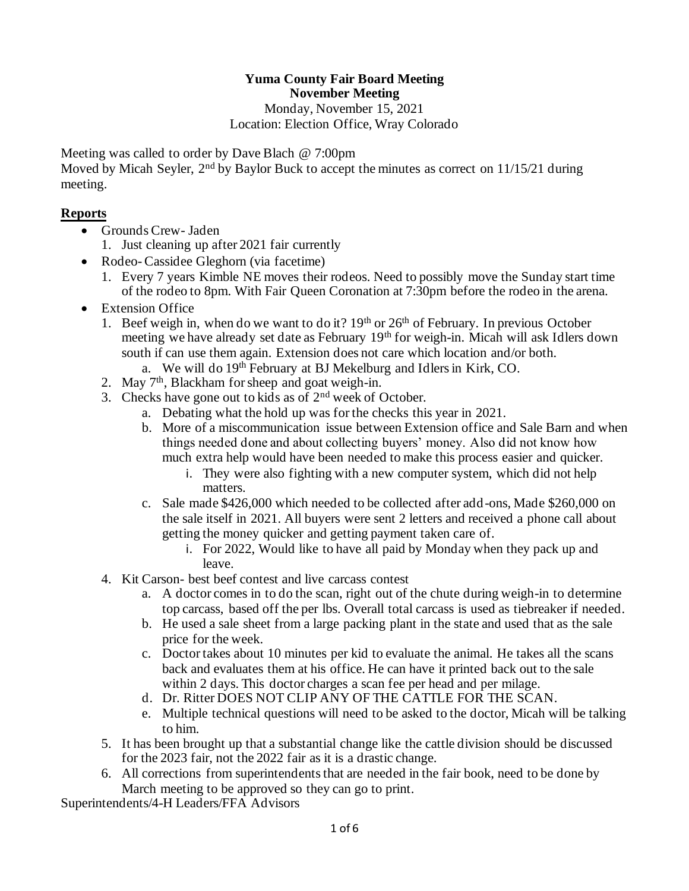### **Yuma County Fair Board Meeting November Meeting**

Monday, November 15, 2021 Location: Election Office, Wray Colorado

Meeting was called to order by Dave Blach @ 7:00pm

Moved by Micah Seyler, 2<sup>nd</sup> by Baylor Buck to accept the minutes as correct on 11/15/21 during meeting.

## **Reports**

- Grounds Crew- Jaden
	- 1. Just cleaning up after 2021 fair currently
- Rodeo- Cassidee Gleghorn (via facetime)
	- 1. Every 7 years Kimble NE moves their rodeos. Need to possibly move the Sunday start time of the rodeo to 8pm. With Fair Queen Coronation at 7:30pm before the rodeo in the arena.
- Extension Office
	- 1. Beef weigh in, when do we want to do it?  $19<sup>th</sup>$  or  $26<sup>th</sup>$  of February. In previous October meeting we have already set date as February 19<sup>th</sup> for weigh-in. Micah will ask Idlers down south if can use them again. Extension does not care which location and/or both.
		- a. We will do 19th February at BJ Mekelburg and Idlers in Kirk, CO.
	- 2. May  $7<sup>th</sup>$ , Blackham for sheep and goat weigh-in.
	- 3. Checks have gone out to kids as of  $2<sup>nd</sup>$  week of October.
		- a. Debating what the hold up was for the checks this year in 2021.
		- b. More of a miscommunication issue between Extension office and Sale Barn and when things needed done and about collecting buyers' money. Also did not know how much extra help would have been needed to make this process easier and quicker.
			- i. They were also fighting with a new computer system, which did not help matters.
		- c. Sale made \$426,000 which needed to be collected after add-ons, Made \$260,000 on the sale itself in 2021. All buyers were sent 2 letters and received a phone call about getting the money quicker and getting payment taken care of.
			- i. For 2022, Would like to have all paid by Monday when they pack up and leave.
	- 4. Kit Carson- best beef contest and live carcass contest
		- a. A doctor comes in to do the scan, right out of the chute during weigh-in to determine top carcass, based off the per lbs. Overall total carcass is used as tiebreaker if needed.
		- b. He used a sale sheet from a large packing plant in the state and used that as the sale price for the week.
		- c. Doctor takes about 10 minutes per kid to evaluate the animal. He takes all the scans back and evaluates them at his office. He can have it printed back out to the sale within 2 days. This doctor charges a scan fee per head and per milage.
		- d. Dr. Ritter DOES NOT CLIP ANY OF THE CATTLE FOR THE SCAN.
		- e. Multiple technical questions will need to be asked to the doctor, Micah will be talking to him.
	- 5. It has been brought up that a substantial change like the cattle division should be discussed for the 2023 fair, not the 2022 fair as it is a drastic change.
	- 6. All corrections from superintendents that are needed in the fair book, need to be done by March meeting to be approved so they can go to print.

Superintendents/4-H Leaders/FFA Advisors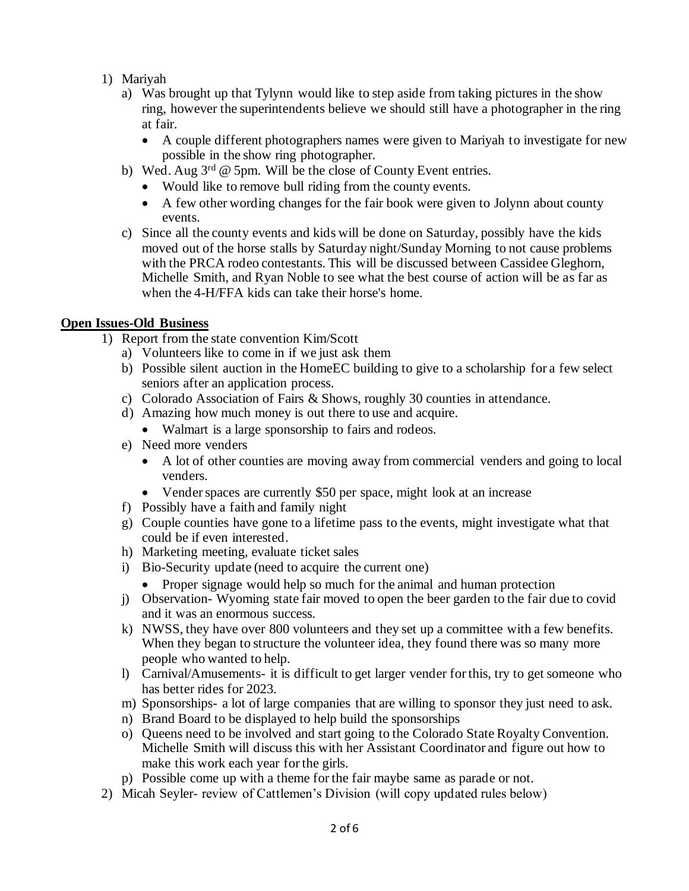### 1) Mariyah

- a) Was brought up that Tylynn would like to step aside from taking pictures in the show ring, however the superintendents believe we should still have a photographer in the ring at fair.
	- A couple different photographers names were given to Mariyah to investigate for new possible in the show ring photographer.
- b) Wed. Aug  $3^{rd}$  @ 5pm. Will be the close of County Event entries.
	- Would like to remove bull riding from the county events.
	- A few other wording changes for the fair book were given to Jolynn about county events.
- c) Since all the county events and kids will be done on Saturday, possibly have the kids moved out of the horse stalls by Saturday night/Sunday Morning to not cause problems with the PRCA rodeo contestants. This will be discussed between Cassidee Gleghorn, Michelle Smith, and Ryan Noble to see what the best course of action will be as far as when the 4-H/FFA kids can take their horse's home.

# **Open Issues-Old Business**

- 1) Report from the state convention Kim/Scott
	- a) Volunteers like to come in if we just ask them
	- b) Possible silent auction in the HomeEC building to give to a scholarship for a few select seniors after an application process.
	- c) Colorado Association of Fairs & Shows, roughly 30 counties in attendance.
	- d) Amazing how much money is out there to use and acquire.
		- Walmart is a large sponsorship to fairs and rodeos.
	- e) Need more venders
		- A lot of other counties are moving away from commercial venders and going to local venders.
		- Vender spaces are currently \$50 per space, might look at an increase
	- f) Possibly have a faith and family night
	- g) Couple counties have gone to a lifetime pass to the events, might investigate what that could be if even interested.
	- h) Marketing meeting, evaluate ticket sales
	- i) Bio-Security update (need to acquire the current one)
		- Proper signage would help so much for the animal and human protection
	- j) Observation- Wyoming state fair moved to open the beer garden to the fair due to covid and it was an enormous success.
	- k) NWSS, they have over 800 volunteers and they set up a committee with a few benefits. When they began to structure the volunteer idea, they found there was so many more people who wanted to help.
	- l) Carnival/Amusements- it is difficult to get larger vender for this, try to get someone who has better rides for 2023.
	- m) Sponsorships- a lot of large companies that are willing to sponsor they just need to ask.
	- n) Brand Board to be displayed to help build the sponsorships
	- o) Queens need to be involved and start going to the Colorado State Royalty Convention. Michelle Smith will discuss this with her Assistant Coordinator and figure out how to make this work each year for the girls.
	- p) Possible come up with a theme for the fair maybe same as parade or not.
- 2) Micah Seyler- review of Cattlemen's Division (will copy updated rules below)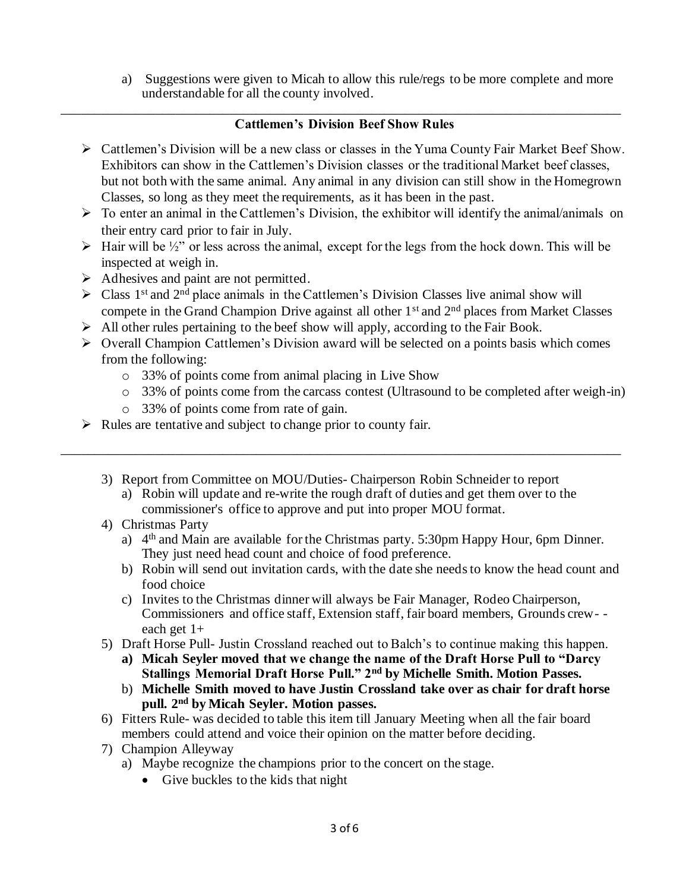a) Suggestions were given to Micah to allow this rule/regs to be more complete and more understandable for all the county involved.

#### \_\_\_\_\_\_\_\_\_\_\_\_\_\_\_\_\_\_\_\_\_\_\_\_\_\_\_\_\_\_\_\_\_\_\_\_\_\_\_\_\_\_\_\_\_\_\_\_\_\_\_\_\_\_\_\_\_\_\_\_\_\_\_\_\_\_\_\_\_\_\_\_\_\_\_\_\_\_\_\_\_\_\_ **Cattlemen's Division Beef Show Rules**

- ➢ Cattlemen's Division will be a new class or classes in the Yuma County Fair Market Beef Show. Exhibitors can show in the Cattlemen's Division classes or the traditional Market beef classes, but not both with the same animal. Any animal in any division can still show in the Homegrown Classes, so long as they meet the requirements, as it has been in the past.
- $\triangleright$  To enter an animal in the Cattlemen's Division, the exhibitor will identify the animal/animals on their entry card prior to fair in July.
- $\triangleright$  Hair will be  $\frac{1}{2}$ " or less across the animal, except for the legs from the hock down. This will be inspected at weigh in.
- ➢ Adhesives and paint are not permitted.
- $\triangleright$  Class 1<sup>st</sup> and 2<sup>nd</sup> place animals in the Cattlemen's Division Classes live animal show will compete in the Grand Champion Drive against all other 1<sup>st</sup> and 2<sup>nd</sup> places from Market Classes
- ➢ All other rules pertaining to the beef show will apply, according to the Fair Book.
- ➢ Overall Champion Cattlemen's Division award will be selected on a points basis which comes from the following:
	- o 33% of points come from animal placing in Live Show
	- o 33% of points come from the carcass contest (Ultrasound to be completed after weigh-in)
	- o 33% of points come from rate of gain.
- ➢ Rules are tentative and subject to change prior to county fair.
	- 3) Report from Committee on MOU/Duties- Chairperson Robin Schneider to report a) Robin will update and re-write the rough draft of duties and get them over to the commissioner's office to approve and put into proper MOU format.

\_\_\_\_\_\_\_\_\_\_\_\_\_\_\_\_\_\_\_\_\_\_\_\_\_\_\_\_\_\_\_\_\_\_\_\_\_\_\_\_\_\_\_\_\_\_\_\_\_\_\_\_\_\_\_\_\_\_\_\_\_\_\_\_\_\_\_\_\_\_\_\_\_\_\_\_\_\_\_\_\_\_\_

- 4) Christmas Party
	- a) 4<sup>th</sup> and Main are available for the Christmas party. 5:30pm Happy Hour, 6pm Dinner. They just need head count and choice of food preference.
	- b) Robin will send out invitation cards, with the date she needs to know the head count and food choice
	- c) Invites to the Christmas dinner will always be Fair Manager, Rodeo Chairperson, Commissioners and office staff, Extension staff, fair board members, Grounds crew- each get 1+
- 5) Draft Horse Pull- Justin Crossland reached out to Balch's to continue making this happen.
	- **a) Micah Seyler moved that we change the name of the Draft Horse Pull to "Darcy Stallings Memorial Draft Horse Pull." 2nd by Michelle Smith. Motion Passes.**
	- b) **Michelle Smith moved to have Justin Crossland take over as chair for draft horse pull. 2nd by Micah Seyler. Motion passes.**
- 6) Fitters Rule- was decided to table this item till January Meeting when all the fair board members could attend and voice their opinion on the matter before deciding.
- 7) Champion Alleyway
	- a) Maybe recognize the champions prior to the concert on the stage.
		- Give buckles to the kids that night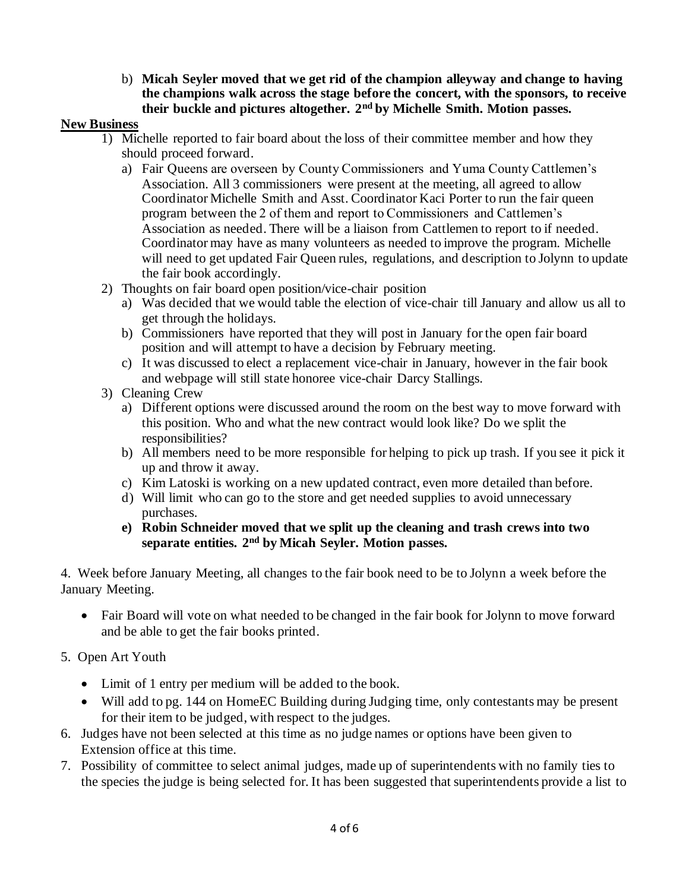b) **Micah Seyler moved that we get rid of the champion alleyway and change to having the champions walk across the stage before the concert, with the sponsors, to receive their buckle and pictures altogether. 2nd by Michelle Smith. Motion passes.** 

### **New Business**

- 1) Michelle reported to fair board about the loss of their committee member and how they should proceed forward.
	- a) Fair Queens are overseen by County Commissioners and Yuma County Cattlemen's Association. All 3 commissioners were present at the meeting, all agreed to allow Coordinator Michelle Smith and Asst. Coordinator Kaci Porter to run the fair queen program between the 2 of them and report to Commissioners and Cattlemen's Association as needed. There will be a liaison from Cattlemen to report to if needed. Coordinator may have as many volunteers as needed to improve the program. Michelle will need to get updated Fair Queen rules, regulations, and description to Jolynn to update the fair book accordingly.
- 2) Thoughts on fair board open position/vice-chair position
	- a) Was decided that we would table the election of vice-chair till January and allow us all to get through the holidays.
	- b) Commissioners have reported that they will post in January for the open fair board position and will attempt to have a decision by February meeting.
	- c) It was discussed to elect a replacement vice-chair in January, however in the fair book and webpage will still state honoree vice-chair Darcy Stallings.
- 3) Cleaning Crew
	- a) Different options were discussed around the room on the best way to move forward with this position. Who and what the new contract would look like? Do we split the responsibilities?
	- b) All members need to be more responsible for helping to pick up trash. If you see it pick it up and throw it away.
	- c) Kim Latoski is working on a new updated contract, even more detailed than before.
	- d) Will limit who can go to the store and get needed supplies to avoid unnecessary purchases.
	- **e) Robin Schneider moved that we split up the cleaning and trash crews into two separate entities. 2nd by Micah Seyler. Motion passes.**

4. Week before January Meeting, all changes to the fair book need to be to Jolynn a week before the January Meeting.

• Fair Board will vote on what needed to be changed in the fair book for Jolynn to move forward and be able to get the fair books printed.

### 5. Open Art Youth

- Limit of 1 entry per medium will be added to the book.
- Will add to pg. 144 on HomeEC Building during Judging time, only contestants may be present for their item to be judged, with respect to the judges.
- 6. Judges have not been selected at this time as no judge names or options have been given to Extension office at this time.
- 7. Possibility of committee to select animal judges, made up of superintendents with no family ties to the species the judge is being selected for. It has been suggested that superintendents provide a list to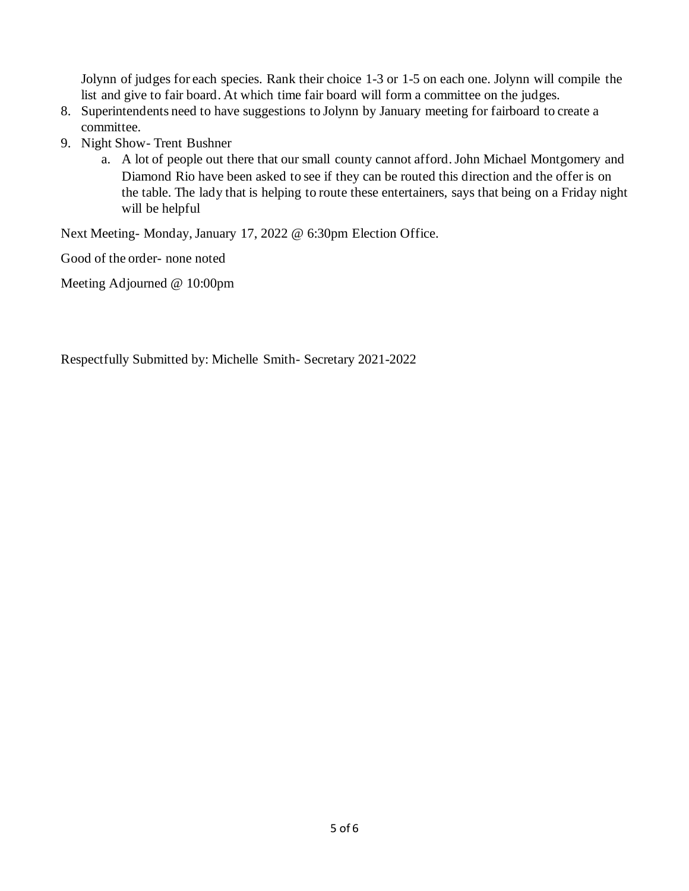Jolynn of judges for each species. Rank their choice 1-3 or 1-5 on each one. Jolynn will compile the list and give to fair board. At which time fair board will form a committee on the judges.

- 8. Superintendents need to have suggestions to Jolynn by January meeting for fairboard to create a committee.
- 9. Night Show- Trent Bushner
	- a. A lot of people out there that our small county cannot afford. John Michael Montgomery and Diamond Rio have been asked to see if they can be routed this direction and the offer is on the table. The lady that is helping to route these entertainers, says that being on a Friday night will be helpful

Next Meeting- Monday, January 17, 2022 @ 6:30pm Election Office.

Good of the order- none noted

Meeting Adjourned @ 10:00pm

Respectfully Submitted by: Michelle Smith- Secretary 2021-2022